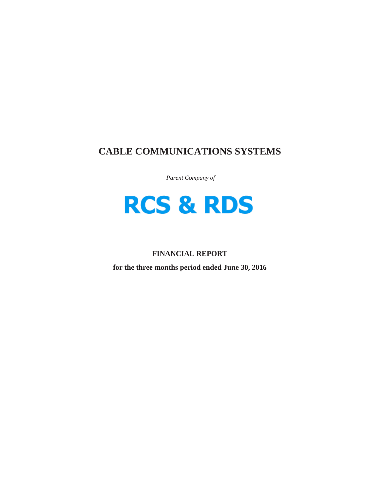# **CABLE COMMUNICATIONS SYSTEMS**

*Parent Company of*



# **FINANCIAL REPORT**

**for the three months period ended June 30, 2016**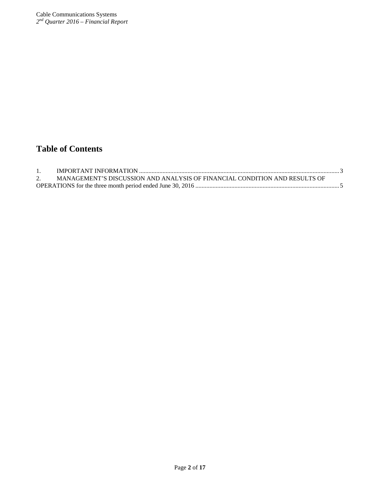# **Table of Contents**

| MANAGEMENT'S DISCUSSION AND ANALYSIS OF FINANCIAL CONDITION AND RESULTS OF |  |
|----------------------------------------------------------------------------|--|
|                                                                            |  |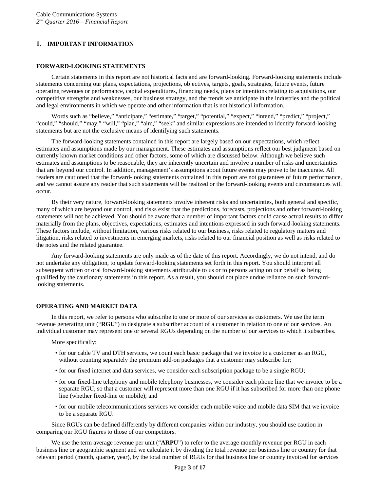# <span id="page-2-0"></span>**1. IMPORTANT INFORMATION**

#### **FORWARD-LOOKING STATEMENTS**

Certain statements in this report are not historical facts and are forward-looking. Forward-looking statements include statements concerning our plans, expectations, projections, objectives, targets, goals, strategies, future events, future operating revenues or performance, capital expenditures, financing needs, plans or intentions relating to acquisitions, our competitive strengths and weaknesses, our business strategy, and the trends we anticipate in the industries and the political and legal environments in which we operate and other information that is not historical information.

Words such as "believe," "anticipate," "estimate," "target," "potential," "expect," "intend," "predict," "project," "could," "should," "may," "will," "plan," "aim," "seek" and similar expressions are intended to identify forward-looking statements but are not the exclusive means of identifying such statements.

The forward-looking statements contained in this report are largely based on our expectations, which reflect estimates and assumptions made by our management. These estimates and assumptions reflect our best judgment based on currently known market conditions and other factors, some of which are discussed below. Although we believe such estimates and assumptions to be reasonable, they are inherently uncertain and involve a number of risks and uncertainties that are beyond our control. In addition, management's assumptions about future events may prove to be inaccurate. All readers are cautioned that the forward-looking statements contained in this report are not guarantees of future performance, and we cannot assure any reader that such statements will be realized or the forward-looking events and circumstances will occur.

By their very nature, forward-looking statements involve inherent risks and uncertainties, both general and specific, many of which are beyond our control, and risks exist that the predictions, forecasts, projections and other forward-looking statements will not be achieved. You should be aware that a number of important factors could cause actual results to differ materially from the plans, objectives, expectations, estimates and intentions expressed in such forward-looking statements. These factors include, without limitation, various risks related to our business, risks related to regulatory matters and litigation, risks related to investments in emerging markets, risks related to our financial position as well as risks related to the notes and the related guarantee.

Any forward-looking statements are only made as of the date of this report. Accordingly, we do not intend, and do not undertake any obligation, to update forward-looking statements set forth in this report. You should interpret all subsequent written or oral forward-looking statements attributable to us or to persons acting on our behalf as being qualified by the cautionary statements in this report. As a result, you should not place undue reliance on such forwardlooking statements.

# **OPERATING AND MARKET DATA**

In this report, we refer to persons who subscribe to one or more of our services as customers. We use the term revenue generating unit ("**RGU**") to designate a subscriber account of a customer in relation to one of our services. An individual customer may represent one or several RGUs depending on the number of our services to which it subscribes.

More specifically:

- for our cable TV and DTH services, we count each basic package that we invoice to a customer as an RGU, without counting separately the premium add-on packages that a customer may subscribe for;
- for our fixed internet and data services, we consider each subscription package to be a single RGU;
- for our fixed-line telephony and mobile telephony businesses, we consider each phone line that we invoice to be a separate RGU, so that a customer will represent more than one RGU if it has subscribed for more than one phone line (whether fixed-line or mobile); and
- for our mobile telecommunications services we consider each mobile voice and mobile data SIM that we invoice to be a separate RGU.

Since RGUs can be defined differently by different companies within our industry, you should use caution in comparing our RGU figures to those of our competitors.

We use the term average revenue per unit ("**ARPU**") to refer to the average monthly revenue per RGU in each business line or geographic segment and we calculate it by dividing the total revenue per business line or country for that relevant period (month, quarter, year), by the total number of RGUs for that business line or country invoiced for services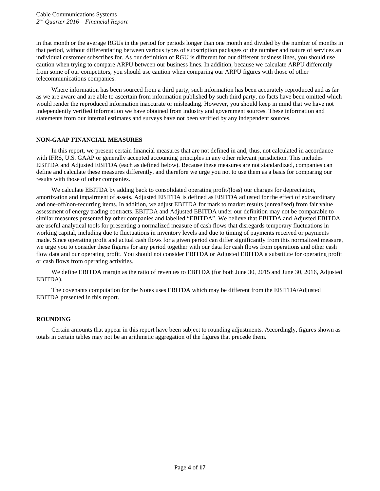in that month or the average RGUs in the period for periods longer than one month and divided by the number of months in that period, without differentiating between various types of subscription packages or the number and nature of services an individual customer subscribes for. As our definition of RGU is different for our different business lines, you should use caution when trying to compare ARPU between our business lines. In addition, because we calculate ARPU differently from some of our competitors, you should use caution when comparing our ARPU figures with those of other telecommunications companies.

Where information has been sourced from a third party, such information has been accurately reproduced and as far as we are aware and are able to ascertain from information published by such third party, no facts have been omitted which would render the reproduced information inaccurate or misleading. However, you should keep in mind that we have not independently verified information we have obtained from industry and government sources. These information and statements from our internal estimates and surveys have not been verified by any independent sources.

# **NON-GAAP FINANCIAL MEASURES**

In this report, we present certain financial measures that are not defined in and, thus, not calculated in accordance with IFRS, U.S. GAAP or generally accepted accounting principles in any other relevant jurisdiction. This includes EBITDA and Adjusted EBITDA (each as defined below). Because these measures are not standardized, companies can define and calculate these measures differently, and therefore we urge you not to use them as a basis for comparing our results with those of other companies.

We calculate EBITDA by adding back to consolidated operating profit/(loss) our charges for depreciation, amortization and impairment of assets. Adjusted EBITDA is defined as EBITDA adjusted for the effect of extraordinary and one-off/non-recurring items. In addition, we adjust EBITDA for mark to market results (unrealised) from fair value assessment of energy trading contracts. EBITDA and Adjusted EBITDA under our definition may not be comparable to similar measures presented by other companies and labelled "EBITDA". We believe that EBITDA and Adjusted EBITDA are useful analytical tools for presenting a normalized measure of cash flows that disregards temporary fluctuations in working capital, including due to fluctuations in inventory levels and due to timing of payments received or payments made. Since operating profit and actual cash flows for a given period can differ significantly from this normalized measure, we urge you to consider these figures for any period together with our data for cash flows from operations and other cash flow data and our operating profit. You should not consider EBITDA or Adjusted EBITDA a substitute for operating profit or cash flows from operating activities.

We define EBITDA margin as the ratio of revenues to EBITDA (for both June 30, 2015 and June 30, 2016, Adjusted EBITDA).

The covenants computation for the Notes uses EBITDA which may be different from the EBITDA/Adjusted EBITDA presented in this report.

# **ROUNDING**

Certain amounts that appear in this report have been subject to rounding adjustments. Accordingly, figures shown as totals in certain tables may not be an arithmetic aggregation of the figures that precede them.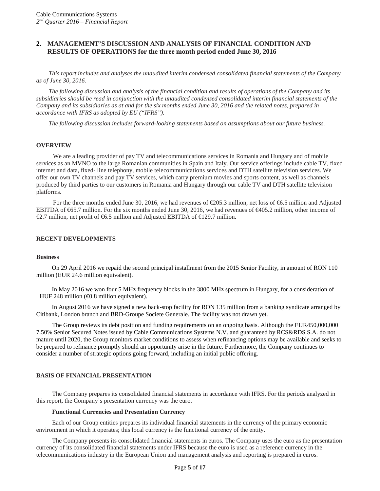# <span id="page-4-0"></span>**2. MANAGEMENT'S DISCUSSION AND ANALYSIS OF FINANCIAL CONDITION AND RESULTS OF OPERATIONS for the three month period ended June 30, 2016**

*This report includes and analyses the unaudited interim condensed consolidated financial statements of the Company as of June 30, 2016.*

*The following discussion and analysis of the financial condition and results of operations of the Company and its subsidiaries should be read in conjunction with the unaudited condensed consolidated interim financial statements of the Company and its subsidiaries as at and for the six months ended June 30, 2016 and the related notes, prepared in accordance with IFRS as adopted by EU ("IFRS").*

*The following discussion includes forward-looking statements based on assumptions about our future business.*

#### **OVERVIEW**

We are a leading provider of pay TV and telecommunications services in Romania and Hungary and of mobile services as an MVNO to the large Romanian communities in Spain and Italy. Our service offerings include cable TV, fixed internet and data, fixed- line telephony, mobile telecommunications services and DTH satellite television services. We offer our own TV channels and pay TV services, which carry premium movies and sports content, as well as channels produced by third parties to our customers in Romania and Hungary through our cable TV and DTH satellite television platforms.

For the three months ended June 30, 2016, we had revenues of  $\epsilon$ 205.3 million, net loss of  $\epsilon$ 6.5 million and Adjusted EBITDA of €65.7 million. For the six months ended June 30, 2016, we had revenues of €405.2 million, other income of €2.7 million, net profit of  $6.5$  million and Adjusted EBITDA of  $629.7$  million.

#### **RECENT DEVELOPMENTS**

#### **Business**

On 29 April 2016 we repaid the second principal installment from the 2015 Senior Facility, in amount of RON 110 million (EUR 24.6 million equivalent).

In May 2016 we won four 5 MHz frequency blocks in the 3800 MHz spectrum in Hungary, for a consideration of HUF 248 million  $(40.8 \text{ million equivalent})$ .

In August 2016 we have signed a new back-stop facility for RON 135 million from a banking syndicate arranged by Citibank, London branch and BRD-Groupe Societe Generale. The facility was not drawn yet.

The Group reviews its debt position and funding requirements on an ongoing basis. Although the EUR450,000,000 7.50% Senior Secured Notes issued by Cable Communications Systems N.V. and guaranteed by RCS&RDS S.A. do not mature until 2020, the Group monitors market conditions to assess when refinancing options may be available and seeks to be prepared to refinance promptly should an opportunity arise in the future. Furthermore, the Company continues to consider a number of strategic options going forward, including an initial public offering.

#### **BASIS OF FINANCIAL PRESENTATION**

The Company prepares its consolidated financial statements in accordance with IFRS. For the periods analyzed in this report, the Company's presentation currency was the euro.

#### **Functional Currencies and Presentation Currency**

Each of our Group entities prepares its individual financial statements in the currency of the primary economic environment in which it operates; this local currency is the functional currency of the entity.

The Company presents its consolidated financial statements in euros. The Company uses the euro as the presentation currency of its consolidated financial statements under IFRS because the euro is used as a reference currency in the telecommunications industry in the European Union and management analysis and reporting is prepared in euros.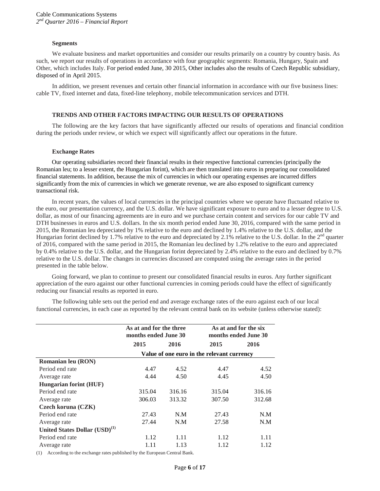#### **Segments**

We evaluate business and market opportunities and consider our results primarily on a country by country basis. As such, we report our results of operations in accordance with four geographic segments: Romania, Hungary, Spain and Other, which includes Italy. For period ended June, 30 2015, Other includes also the results of Czech Republic subsidiary, disposed of in April 2015.

In addition, we present revenues and certain other financial information in accordance with our five business lines: cable TV, fixed internet and data, fixed-line telephony, mobile telecommunication services and DTH.

#### **TRENDS AND OTHER FACTORS IMPACTING OUR RESULTS OF OPERATIONS**

The following are the key factors that have significantly affected our results of operations and financial condition during the periods under review, or which we expect will significantly affect our operations in the future.

#### **Exchange Rates**

Our operating subsidiaries record their financial results in their respective functional currencies (principally the Romanian leu; to a lesser extent, the Hungarian forint), which are then translated into euros in preparing our consolidated financial statements. In addition, because the mix of currencies in which our operating expenses are incurred differs significantly from the mix of currencies in which we generate revenue, we are also exposed to significant currency transactional risk.

In recent years, the values of local currencies in the principal countries where we operate have fluctuated relative to the euro, our presentation currency, and the U.S. dollar. We have significant exposure to euro and to a lesser degree to U.S. dollar, as most of our financing agreements are in euro and we purchase certain content and services for our cable TV and DTH businesses in euros and U.S. dollars. In the six month period ended June 30, 2016, compared with the same period in 2015, the Romanian leu depreciated by 1% relative to the euro and declined by 1.4% relative to the U.S. dollar, and the Hungarian forint declined by 1.7% relative to the euro and depreciated by 2.1% relative to the U.S. dollar. In the 2<sup>nd</sup> quarter of 2016, compared with the same period in 2015, the Romanian leu declined by 1.2% relative to the euro and appreciated by 0.4% relative to the U.S. dollar, and the Hungarian forint depreciated by 2.4% relative to the euro and declined by 0.7% relative to the U.S. dollar. The changes in currencies discussed are computed using the average rates in the period presented in the table below.

Going forward, we plan to continue to present our consolidated financial results in euros. Any further significant appreciation of the euro against our other functional currencies in coming periods could have the effect of significantly reducing our financial results as reported in euro.

The following table sets out the period end and average exchange rates of the euro against each of our local functional currencies, in each case as reported by the relevant central bank on its website (unless otherwise stated):

|                                           | As at and for the three<br>months ended June 30 |        | As at and for the six<br>months ended June 30 |        |  |
|-------------------------------------------|-------------------------------------------------|--------|-----------------------------------------------|--------|--|
|                                           | 2015                                            | 2016   | 2015                                          | 2016   |  |
|                                           |                                                 |        | Value of one euro in the relevant currency    |        |  |
| Romanian leu (RON)                        |                                                 |        |                                               |        |  |
| Period end rate                           | 4.47                                            | 4.52   | 4.47                                          | 4.52   |  |
| Average rate                              | 4.44                                            | 4.50   | 4.45                                          | 4.50   |  |
| <b>Hungarian forint (HUF)</b>             |                                                 |        |                                               |        |  |
| Period end rate                           | 315.04                                          | 316.16 | 315.04                                        | 316.16 |  |
| Average rate                              | 306.03                                          | 313.32 | 307.50                                        | 312.68 |  |
| Czech koruna (CZK)                        |                                                 |        |                                               |        |  |
| Period end rate                           | 27.43                                           | N.M    | 27.43                                         | N.M    |  |
| Average rate                              | 27.44                                           | N.M    | 27.58                                         | N.M    |  |
| United States Dollar (USD) <sup>(1)</sup> |                                                 |        |                                               |        |  |
| Period end rate                           | 1.12                                            | 1.11   | 1.12                                          | 1.11   |  |
| Average rate                              | 1.11                                            | 1.13   | 1.12                                          | 1.12   |  |
|                                           |                                                 |        |                                               |        |  |

(1) According to the exchange rates published by the European Central Bank.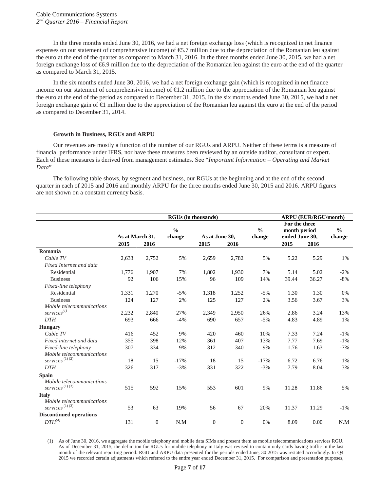In the three months ended June 30, 2016, we had a net foreign exchange loss (which is recognized in net finance expenses on our statement of comprehensive income) of €5.7 million due to the depreciation of the Romanian leu against the euro at the end of the quarter as compared to March 31, 2016. In the three months ended June 30, 2015, we had a net foreign exchange loss of €6.9 million due to the depreciation of the Romanian leu against the euro at the end of the quarter as compared to March 31, 2015.

In the six months ended June 30, 2016, we had a net foreign exchange gain (which is recognized in net finance income on our statement of comprehensive income) of  $\bigoplus$ . 2 million due to the appreciation of the Romanian leu against the euro at the end of the period as compared to December 31, 2015. In the six months ended June 30, 2015, we had a net foreign exchange gain of €1 million due to the appreciation of the Romanian leu against the euro at the end of the period as compared to December 31, 2014.

#### **Growth in Business, RGUs and ARPU**

Our revenues are mostly a function of the number of our RGUs and ARPU. Neither of these terms is a measure of financial performance under IFRS, nor have these measures been reviewed by an outside auditor, consultant or expert. Each of these measures is derived from management estimates. See "*Important Information – Operating and Market Data*"

The following table shows, by segment and business, our RGUs at the beginning and at the end of the second quarter in each of 2015 and 2016 and monthly ARPU for the three months ended June 30, 2015 and 2016. ARPU figures are not shown on a constant currency basis.

|                                                   | <b>RGUs (in thousands)</b> |          |               |                |              |               | <b>ARPU (EUR/RGU/month)</b> |       |               |
|---------------------------------------------------|----------------------------|----------|---------------|----------------|--------------|---------------|-----------------------------|-------|---------------|
|                                                   |                            |          |               |                |              |               | For the three               |       |               |
|                                                   |                            |          | $\frac{0}{0}$ |                |              | $\frac{0}{0}$ | month period                |       | $\frac{0}{0}$ |
|                                                   | As at March 31,            |          | change        | As at June 30, |              | change        | ended June 30,              |       | change        |
|                                                   | 2015                       | 2016     |               | 2015           | 2016         |               | 2015                        | 2016  |               |
| Romania                                           |                            |          |               |                |              |               |                             |       |               |
| Cable TV                                          | 2,633                      | 2,752    | 5%            | 2,659          | 2,782        | 5%            | 5.22                        | 5.29  | 1%            |
| Fixed Internet and data                           |                            |          |               |                |              |               |                             |       |               |
| Residential                                       | 1,776                      | 1,907    | 7%            | 1,802          | 1,930        | 7%            | 5.14                        | 5.02  | $-2%$         |
| <b>Business</b>                                   | 92                         | 106      | 15%           | 96             | 109          | 14%           | 39.44                       | 36.27 | $-8%$         |
| Fixed-line telephony                              |                            |          |               |                |              |               |                             |       |               |
| Residential                                       | 1,331                      | 1,270    | $-5%$         | 1,318          | 1,252        | $-5%$         | 1.30                        | 1.30  | 0%            |
| <b>Business</b>                                   | 124                        | 127      | 2%            | 125            | 127          | 2%            | 3.56                        | 3.67  | 3%            |
| Mobile telecommunications                         |                            |          |               |                |              |               |                             |       |               |
| $s$ ervices $^{(1)}$                              | 2,232                      | 2,840    | 27%           | 2,349          | 2,950        | 26%           | 2.86                        | 3.24  | 13%           |
| <b>DTH</b>                                        | 693                        | 666      | $-4%$         | 690            | 657          | $-5%$         | 4.83                        | 4.89  | 1%            |
| <b>Hungary</b>                                    |                            |          |               |                |              |               |                             |       |               |
| Cable TV                                          | 416                        | 452      | 9%            | 420            | 460          | 10%           | 7.33                        | 7.24  | $-1\%$        |
| Fixed internet and data                           | 355                        | 398      | 12%           | 361            | 407          | 13%           | 7.77                        | 7.69  | $-1%$         |
| Fixed-line telephony                              | 307                        | 334      | 9%            | 312            | 340          | 9%            | 1.76                        | 1.63  | $-7%$         |
| Mobile telecommunications                         |                            |          |               |                |              |               |                             |       |               |
| $serves\ ^{(1)\ (2)}$                             | 18                         | 15       | $-17%$        | 18             | 15           | $-17%$        | 6.72                        | 6.76  | 1%            |
| <b>DTH</b>                                        | 326                        | 317      | $-3%$         | 331            | 322          | $-3%$         | 7.79                        | 8.04  | 3%            |
| <b>Spain</b>                                      |                            |          |               |                |              |               |                             |       |               |
| Mobile telecommunications                         |                            |          |               |                |              |               |                             |       |               |
| $s$ ervices $^{\left( 1\right) \left( 3\right) }$ | 515                        | 592      | 15%           | 553            | 601          | 9%            | 11.28                       | 11.86 | 5%            |
| <b>Italy</b>                                      |                            |          |               |                |              |               |                             |       |               |
| Mobile telecommunications                         |                            |          |               |                |              |               |                             |       |               |
| $serves\ ^{(1)\ (3)}$                             | 53                         | 63       | 19%           | 56             | 67           | 20%           | 11.37                       | 11.29 | $-1\%$        |
| <b>Discontinued operations</b>                    |                            |          |               |                |              |               |                             |       |               |
| $DTH^{\left( 4\right) }$                          | 131                        | $\theta$ | N.M           | $\mathbf{0}$   | $\mathbf{0}$ | 0%            | 8.09                        | 0.00  | N.M           |

(1) As of June 30, 2016, we aggregate the mobile telephony and mobile data SIMs and present them as mobile telecommunications services RGU. As of December 31, 2015, the definition for RGUs for mobile telephony in Italy was revised to contain only cards having traffic in the last month of the relevant reporting period. RGU and ARPU data presented for the periods ended June, 30 2015 was restated accordingly. In Q4 2015 we recorded certain adjustments which referred to the entire year ended December 31, 2015. For comparison and presentation purposes,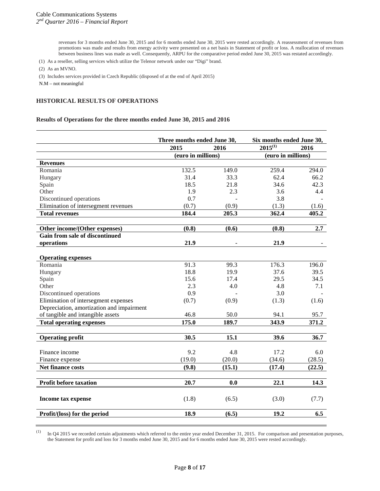revenues for 3 months ended June 30, 2015 and for 6 months ended June 30, 2015 were rested accordingly. A reassessment of revenues from promotions was made and results from energy activity were presented on a net basis in Statement of profit or loss. A reallocation of revenues between business lines was made as well. Consequently, ARPU for the comparative period ended June 30, 2015 was restated accordingly.

(1) As a reseller, selling services which utilize the Telenor network under our "Digi" brand.

(2) As an MVNO.

(3) Includes services provided in Czech Republic (disposed of at the end of April 2015)

#### **HISTORICAL RESULTS OF OPERATIONS**

#### **Results of Operations for the three months ended June 30, 2015 and 2016**

|                                           | Three months ended June 30, |        | Six months ended June 30, |        |
|-------------------------------------------|-----------------------------|--------|---------------------------|--------|
|                                           | 2015                        | 2016   | $2015^{(1)}$              | 2016   |
|                                           | (euro in millions)          |        | (euro in millions)        |        |
| <b>Revenues</b>                           |                             |        |                           |        |
| Romania                                   | 132.5                       | 149.0  | 259.4                     | 294.0  |
| Hungary                                   | 31.4                        | 33.3   | 62.4                      | 66.2   |
| Spain                                     | 18.5                        | 21.8   | 34.6                      | 42.3   |
| Other                                     | 1.9                         | 2.3    | 3.6                       | 4.4    |
| Discontinued operations                   | 0.7                         |        | 3.8                       |        |
| Elimination of intersegment revenues      | (0.7)                       | (0.9)  | (1.3)                     | (1.6)  |
| <b>Total revenues</b>                     | 184.4                       | 205.3  | 362.4                     | 405.2  |
| Other income/(Other expenses)             | (0.8)                       | (0.6)  | (0.8)                     | 2.7    |
| <b>Gain from sale of discontinued</b>     |                             |        |                           |        |
| operations                                | 21.9                        |        | 21.9                      |        |
|                                           |                             |        |                           |        |
| <b>Operating expenses</b>                 |                             |        |                           |        |
| Romania                                   | 91.3                        | 99.3   | 176.3                     | 196.0  |
| Hungary                                   | 18.8                        | 19.9   | 37.6                      | 39.5   |
| Spain                                     | 15.6                        | 17.4   | 29.5                      | 34.5   |
| Other                                     | 2.3                         | 4.0    | 4.8                       | 7.1    |
| Discontinued operations                   | 0.9                         |        | 3.0                       |        |
| Elimination of intersegment expenses      | (0.7)                       | (0.9)  | (1.3)                     | (1.6)  |
| Depreciation, amortization and impairment |                             |        |                           |        |
| of tangible and intangible assets         | 46.8                        | 50.0   | 94.1                      | 95.7   |
| <b>Total operating expenses</b>           | 175.0                       | 189.7  | 343.9                     | 371.2  |
|                                           |                             |        |                           |        |
| <b>Operating profit</b>                   | 30.5                        | 15.1   | 39.6                      | 36.7   |
| Finance income                            | 9.2                         | 4.8    | 17.2                      | 6.0    |
| Finance expense                           | (19.0)                      | (20.0) | (34.6)                    | (28.5) |
|                                           |                             |        |                           |        |
| Net finance costs                         | (9.8)                       | (15.1) | (17.4)                    | (22.5) |
| <b>Profit before taxation</b>             | 20.7                        | 0.0    | 22.1                      | 14.3   |
|                                           |                             |        |                           |        |
| Income tax expense                        | (1.8)                       | (6.5)  | (3.0)                     | (7.7)  |
| Profit/(loss) for the period              | 18.9                        | (6.5)  | 19.2                      | 6.5    |
|                                           |                             |        |                           |        |

 $(1)$  In Q4 2015 we recorded certain adjustments which referred to the entire year ended December 31, 2015. For comparison and presentation purposes, the Statement for profit and loss for 3 months ended June 30, 2015 and for 6 months ended June 30, 2015 were rested accordingly.

N.M – not meaningful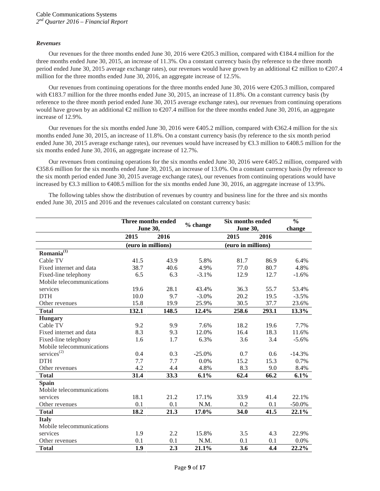#### *Revenues*

Our revenues for the three months ended June 30, 2016 were €205.3 million, compared with €184.4 million for the three months ended June 30, 2015, an increase of 11.3%. On a constant currency basis (by reference to the three month period ended June 30, 2015 average exchange rates), our revenues would have grown by an additional €2 million to €207.4 million for the three months ended June 30, 2016, an aggregate increase of 12.5%.

Our revenues from continuing operations for the three months ended June 30, 2016 were €205.3 million, compared with €183.7 million for the three months ended June 30, 2015, an increase of 11.8%. On a constant currency basis (by reference to the three month period ended June 30, 2015 average exchange rates), our revenues from continuing operations would have grown by an additional  $\text{\textcircled{2}}$  million to  $\text{\textcircled{207.4}}$  million for the three months ended June 30, 2016, an aggregate increase of 12.9%.

Our revenues for the six months ended June 30, 2016 were €405.2 million, compared with €362.4 million for the six months ended June 30, 2015, an increase of 11.8%. On a constant currency basis (by reference to the six month period ended June 30, 2015 average exchange rates), our revenues would have increased by €3.3 million to €408.5 million for the six months ended June 30, 2016, an aggregate increase of 12.7%.

Our revenues from continuing operations for the six months ended June 30, 2016 were €405.2 million, compared with €358.6 million for the six months ended June 30, 2015, an increase of 13.0%. On a constant currency basis (by reference to the six month period ended June 30, 2015 average exchange rates), our revenues from continuing operations would have increased by €3.3 million to €408.5 million for the six months ended June 30, 2016, an aggregate increase of 13.9%.

The following tables show the distribution of revenues by country and business line for the three and six months ended June 30, 2015 and 2016 and the revenues calculated on constant currency basis:

|                           | Three months ended<br><b>June 30,</b> |       | % change | Six months ended   |       | $\frac{6}{6}$ |
|---------------------------|---------------------------------------|-------|----------|--------------------|-------|---------------|
|                           |                                       |       |          | <b>June 30,</b>    |       | change        |
|                           | 2015                                  | 2016  |          | 2015               | 2016  |               |
|                           | (euro in millions)                    |       |          | (euro in millions) |       |               |
| Romania $\overline{11}$   |                                       |       |          |                    |       |               |
| Cable TV                  | 41.5                                  | 43.9  | 5.8%     | 81.7               | 86.9  | 6.4%          |
| Fixed internet and data   | 38.7                                  | 40.6  | 4.9%     | 77.0               | 80.7  | 4.8%          |
| Fixed-line telephony      | 6.5                                   | 6.3   | $-3.1%$  | 12.9               | 12.7  | $-1.6%$       |
| Mobile telecommunications |                                       |       |          |                    |       |               |
| services                  | 19.6                                  | 28.1  | 43.4%    | 36.3               | 55.7  | 53.4%         |
| <b>DTH</b>                | 10.0                                  | 9.7   | $-3.0\%$ | 20.2               | 19.5  | $-3.5%$       |
| Other revenues            | 15.8                                  | 19.9  | 25.9%    | 30.5               | 37.7  | 23.6%         |
| <b>Total</b>              | 132.1                                 | 148.5 | 12.4%    | 258.6              | 293.1 | 13.3%         |
| <b>Hungary</b>            |                                       |       |          |                    |       |               |
| Cable TV                  | 9.2                                   | 9.9   | 7.6%     | 18.2               | 19.6  | 7.7%          |
| Fixed internet and data   | 8.3                                   | 9.3   | 12.0%    | 16.4               | 18.3  | 11.6%         |
| Fixed-line telephony      | 1.6                                   | 1.7   | 6.3%     | 3.6                | 3.4   | $-5.6%$       |
| Mobile telecommunications |                                       |       |          |                    |       |               |
| services $^{(2)}$         | 0.4                                   | 0.3   | $-25.0%$ | 0.7                | 0.6   | $-14.3%$      |
| <b>DTH</b>                | 7.7                                   | 7.7   | 0.0%     | 15.2               | 15.3  | 0.7%          |
| Other revenues            | 4.2                                   | 4.4   | 4.8%     | 8.3                | 9.0   | 8.4%          |
| <b>Total</b>              | 31.4                                  | 33.3  | 6.1%     | 62.4               | 66.2  | 6.1%          |
| <b>Spain</b>              |                                       |       |          |                    |       |               |
| Mobile telecommunications |                                       |       |          |                    |       |               |
| services                  | 18.1                                  | 21.2  | 17.1%    | 33.9               | 41.4  | 22.1%         |
| Other revenues            | 0.1                                   | 0.1   | N.M.     | 0.2                | 0.1   | $-50.0\%$     |
| <b>Total</b>              | 18.2                                  | 21.3  | 17.0%    | 34.0               | 41.5  | 22.1%         |
| <b>Italy</b>              |                                       |       |          |                    |       |               |
| Mobile telecommunications |                                       |       |          |                    |       |               |
| services                  | 1.9                                   | 2.2   | 15.8%    | 3.5                | 4.3   | 22.9%         |
| Other revenues            | 0.1                                   | 0.1   | N.M.     | 0.1                | 0.1   | 0.0%          |
| <b>Total</b>              | 1.9                                   | 2.3   | 21.1%    | 3.6                | 4.4   | 22.2%         |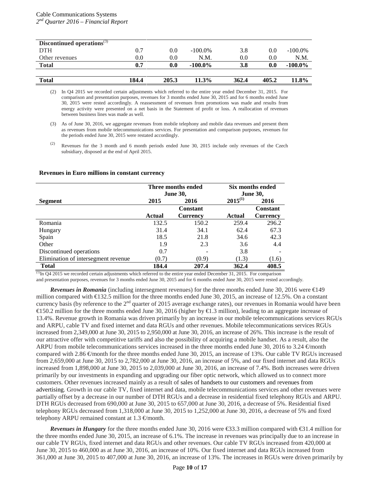| Discontinued operations $\mathbf{S}^{(3)}$ |       |         |            |       |         |            |
|--------------------------------------------|-------|---------|------------|-------|---------|------------|
| <b>DTH</b>                                 | 0.7   | $0.0\,$ | $-100.0\%$ | 3.8   | $0.0\,$ | $-100.0\%$ |
| Other revenues                             | 0.0   | $0.0\,$ | N.M.       | 0.0   | 0.0     | N.M.       |
| <b>Total</b>                               | 0.7   | 0.0     | $-100.0\%$ | 3.8   | 0.0     | $-100.0\%$ |
|                                            |       |         |            |       |         |            |
| <b>Total</b>                               | 184.4 | 205.3   | 11.3%      | 362.4 | 405.2   | 11.8%      |

(2) In Q4 2015 we recorded certain adjustments which referred to the entire year ended December 31, 2015. For comparison and presentation purposes, revenues for 3 months ended June 30, 2015 and for 6 months ended June 30, 2015 were rested accordingly. A reassessment of revenues from promotions was made and results from energy activity were presented on a net basis in the Statement of profit or loss. A reallocation of revenues between business lines was made as well.

#### **Revenues in Euro millions in constant currency**

|                                     | Three months ended<br><b>June 30,</b> |                 | Six months ended |                 |
|-------------------------------------|---------------------------------------|-----------------|------------------|-----------------|
|                                     |                                       |                 |                  | <b>June 30,</b> |
| Segment                             | 2015                                  | 2016            | $2015^{(1)}$     | 2016            |
|                                     |                                       | <b>Constant</b> |                  | <b>Constant</b> |
|                                     | Actual                                | <b>Currency</b> | Actual           | <b>Currency</b> |
| Romania                             | 132.5                                 | 150.2           | 259.4            | 296.2           |
| Hungary                             | 31.4                                  | 34.1            | 62.4             | 67.3            |
| Spain                               | 18.5                                  | 21.8            | 34.6             | 42.3            |
| Other                               | 1.9                                   | 2.3             | 3.6              | 4.4             |
| Discontinued operations             | 0.7                                   |                 | 3.8              |                 |
| Elimination of intersegment revenue | (0.7)                                 | (0.9)           | (1.3)            | (1.6)           |
| <b>Total</b>                        | 184.4                                 | 207.4           | 362.4            | 408.5           |

 $\frac{(1)}{10}$  In O4 2015 we recorded certain adjustments which referred to the entire year ended December 31, 2015. For comparison and presentation purposes, revenues for 3 months ended June 30, 2015 and for 6 months ended June 30, 2015 were rested accordingly.

*Revenues in Romania* (including intersegment revenues) for the three months ended June 30, 2016 were €149 million compared with €132.5 million for the three months ended June 30, 2015, an increase of 12.5%. On a constant currency basis (by reference to the  $2<sup>nd</sup>$  quarter of 2015 average exchange rates), our revenues in Romania would have been €150.2 million for the three months ended June 30, 2016 (higher by €1.3 million), leading to an aggregate increase of 13.4%. Revenue growth in Romania was driven primarily by an increase in our mobile telecommunications services RGUs and ARPU, cable TV and fixed internet and data RGUs and other revenues. Mobile telecommunications services RGUs increased from 2,349,000 at June 30, 2015 to 2,950,000 at June 30, 2016, an increase of 26%. This increase is the result of our attractive offer with competitive tariffs and also the possibility of acquiring a mobile handset. As a result, also the ARPU from mobile telecommunications services increased in the three months ended June 30, 2016 to 3.24  $\oplus$ month compared with 2.86 €month for the three months ended June 30, 2015, an increase of 13%. Our cable TV RGUs increased from 2,659,000 at June 30, 2015 to 2,782,000 at June 30, 2016, an increase of 5%, and our fixed internet and data RGUs increased from 1,898,000 at June 30, 2015 to 2,039,000 at June 30, 2016, an increase of 7.4%. Both increases were driven primarily by our investments in expanding and upgrading our fiber optic network, which allowed us to connect more customers. Other revenues increased mainly as a result of sales of handsets to our customers and revenues from advertising. Growth in our cable TV, fixed internet and data, mobile telecommunications services and other revenues were partially offset by a decrease in our number of DTH RGUs and a decrease in residential fixed telephony RGUs and ARPU. DTH RGUs decreased from 690,000 at June 30, 2015 to 657,000 at June 30, 2016, a decrease of 5%. Residential fixed telephony RGUs decreased from 1,318,000 at June 30, 2015 to 1,252,000 at June 30, 2016, a decrease of 5% and fixed telephony ARPU remained constant at  $1.3 \text{ } \infty$ month.

*Revenues in Hungary* for the three months ended June 30, 2016 were €3.3 million compared with €31.4 million for the three months ended June 30, 2015, an increase of 6.1%. The increase in revenues was principally due to an increase in our cable TV RGUs, fixed internet and data RGUs and other revenues. Our cable TV RGUs increased from 420,000 at June 30, 2015 to 460,000 as at June 30, 2016, an increase of 10%. Our fixed internet and data RGUs increased from 361,000 at June 30, 2015 to 407,000 at June 30, 2016, an increase of 13%. The increases in RGUs were driven primarily by

<sup>(3)</sup> As of June 30, 2016, we aggregate revenues from mobile telephony and mobile data revenues and present them as revenues from mobile telecommunications services. For presentation and comparison purposes, revenues for the periods ended June 30, 2015 were restated accordingly.

<sup>(2)</sup> Revenues for the 3 month and 6 month periods ended June 30, 2015 include only revenues of the Czech subsidiary, disposed at the end of April 2015.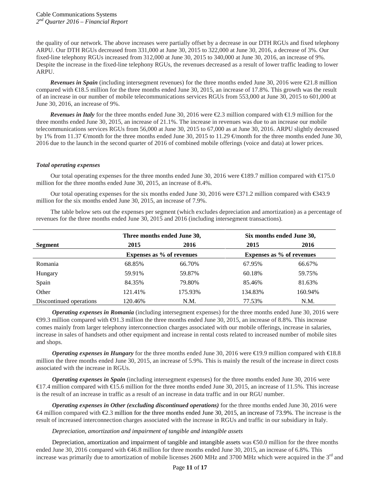the quality of our network. The above increases were partially offset by a decrease in our DTH RGUs and fixed telephony ARPU. Our DTH RGUs decreased from 331,000 at June 30, 2015 to 322,000 at June 30, 2016, a decrease of 3%. Our fixed-line telephony RGUs increased from 312,000 at June 30, 2015 to 340,000 at June 30, 2016, an increase of 9%. Despite the increase in the fixed-line telephony RGUs, the revenues decreased as a result of lower traffic leading to lower ARPU.

*Revenues in Spain* (including intersegment revenues) for the three months ended June 30, 2016 were  $\epsilon$ 21.8 million compared with €18.5 million for the three months ended June 30, 2015, an increase of 17.8%. This growth was the result of an increase in our number of mobile telecommunications services RGUs from 553,000 at June 30, 2015 to 601,000 at June 30, 2016, an increase of 9%.

*Revenues in Italy* for the three months ended June 30, 2016 were €2.3 million compared with €1.9 million for the three months ended June 30, 2015, an increase of 21.1%. The increase in revenues was due to an increase our mobile telecommunications services RGUs from 56,000 at June 30, 2015 to 67,000 as at June 30, 2016. ARPU slightly decreased by 1% from 11.37  $\epsilon$  month for the three months ended June 30, 2015 to 11.29  $\epsilon$  month for the three months ended June 30, 2016 due to the launch in the second quarter of 2016 of combined mobile offerings (voice and data) at lower prices.

#### *Total operating expenses*

Our total operating expenses for the three months ended June 30, 2016 were €189.7 million compared with €175.0 million for the three months ended June 30, 2015, an increase of 8.4%.

Our total operating expenses for the six months ended June 30, 2016 were €371.2 million compared with €343.9 million for the six months ended June 30, 2015, an increase of 7.9%.

The table below sets out the expenses per segment (which excludes depreciation and amortization) as a percentage of revenues for the three months ended June 30, 2015 and 2016 (including intersegment transactions).

|                         |         | Three months ended June 30,      | Six months ended June 30,        |         |  |
|-------------------------|---------|----------------------------------|----------------------------------|---------|--|
| Segment                 | 2015    | 2016                             | 2015                             | 2016    |  |
|                         |         | <b>Expenses as % of revenues</b> | <b>Expenses as % of revenues</b> |         |  |
| Romania                 | 68.85%  | 66.70%                           | 67.95%                           | 66.67%  |  |
| Hungary                 | 59.91%  | 59.87%                           | 60.18%                           | 59.75%  |  |
| Spain                   | 84.35%  | 79.80%                           | 85.46%                           | 81.63%  |  |
| Other                   | 121.41% | 175.93%                          | 134.83%                          | 160.94% |  |
| Discontinued operations | 120.46% | N.M.                             | 77.53%                           | N.M.    |  |

*Operating expenses in Romania* (including intersegment expenses) for the three months ended June 30, 2016 were  $\Theta$ 9.3 million compared with  $\Theta$ 1.3 million the three months ended June 30, 2015, an increase of 8.8%. This increase comes mainly from larger telephony interconnection charges associated with our mobile offerings, increase in salaries, increase in sales of handsets and other equipment and increase in rental costs related to increased number of mobile sites and shops.

*Operating expenses in Hungary* for the three months ended June 30, 2016 were €19.9 million compared with €18.8 million the three months ended June 30, 2015, an increase of 5.9%. This is mainly the result of the increase in direct costs associated with the increase in RGUs.

*Operating expenses in Spain* (including intersegment expenses) for the three months ended June 30, 2016 were €17.4 million compared with €15.6 million for the three months ended June 30, 2015, an increase of 11.5%. This increase is the result of an increase in traffic as a result of an increase in data traffic and in our RGU number.

*Operating expenses in Other (excluding discontinued operations)* for the three months ended June 30, 2016 were  $\bigoplus$  million compared with  $\bigoplus$ .3 million for the three months ended June 30, 2015, an increase of 73.9%. The increase is the result of increased interconnection charges associated with the increase in RGUs and traffic in our subsidiary in Italy.

# *Depreciation, amortization and impairment of tangible and intangible assets*

Depreciation, amortization and impairment of tangible and intangible assets was  $\epsilon$ 50.0 million for the three months ended June 30, 2016 compared with €46.8 million for three months ended June 30, 2015, an increase of 6.8%. This increase was primarily due to amortization of mobile licenses 2600 MHz and 3700 MHz which were acquired in the  $3<sup>rd</sup>$  and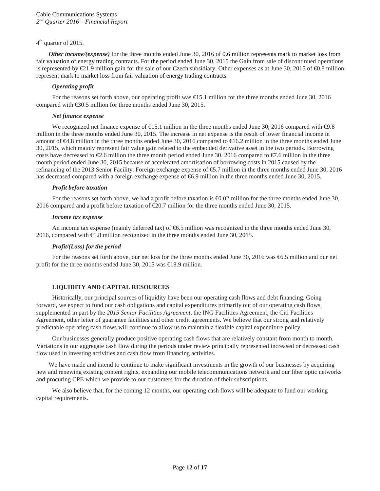#### 4<sup>th</sup> quarter of 2015.

*Other income/(expense)* for the three months ended June 30, 2016 of 0.6 million represents mark to market loss from fair valuation of energy trading contracts. For the period ended June 30, 2015 the Gain from sale of discontinued operations is represented by  $\text{\textsterling}1.9$  million gain for the sale of our Czech subsidiary. Other expenses as at June 30, 2015 of  $\text{\textsterling}0.8$  million represent mark to market loss from fair valuation of energy trading contracts

#### *Operating profit*

For the reasons set forth above, our operating profit was €15.1 million for the three months ended June 30, 2016 compared with €30.5 million for three months ended June 30, 2015.

#### *Net finance expense*

We recognized net finance expense of €15.1 million in the three months ended June 30, 2016 compared with ⊕.8 million in the three months ended June 30, 2015. The increase in net expense is the result of lower financial income in amount of €4.8 million in the three months ended June 30, 2016 compared to €16.2 million in the three months ended June 30, 2015, which mainly represent fair value gain related to the embedded derivative asset in the two periods. Borrowing costs have decreased to  $\mathcal{Q}_0$ .6 million the three month period ended June 30, 2016 compared to  $\mathcal{Q}_0$ .6 million in the three month period ended June 30, 2015 because of accelerated amortisation of borrowing costs in 2015 caused by the refinancing of the 2013 Senior Facility. Foreign exchange expense of €5.7 million in the three months ended June 30, 2016 has decreased compared with a foreign exchange expense of €6.9 million in the three months ended June 30, 2015.

#### *Profit before taxation*

For the reasons set forth above, we had a profit before taxation is  $\epsilon$ 0.02 million for the three months ended June 30, 2016 compared and a profit before taxation of  $\epsilon$ 20.7 million for the three months ended June 30, 2015.

#### *Income tax expense*

An income tax expense (mainly deferred tax) of €6.5 million was recognized in the three months ended June 30, 2016, compared with €1.8 million recognized in the three months ended June 30, 2015.

#### *Profit/(Loss) for the period*

For the reasons set forth above, our net loss for the three months ended June 30, 2016 was €6.5 million and our net profit for the three months ended June 30, 2015 was €18.9 million.

# **LIQUIDITY AND CAPITAL RESOURCES**

Historically, our principal sources of liquidity have been our operating cash flows and debt financing. Going forward, we expect to fund our cash obligations and capital expenditures primarily out of our operating cash flows, supplemented in part by the *2015 Senior Facilities Agreement*, the ING Facilities Agreement, the Citi Facilities Agreement, other letter of guarantee facilities and other credit agreements. We believe that our strong and relatively predictable operating cash flows will continue to allow us to maintain a flexible capital expenditure policy.

Our businesses generally produce positive operating cash flows that are relatively constant from month to month. Variations in our aggregate cash flow during the periods under review principally represented increased or decreased cash flow used in investing activities and cash flow from financing activities.

We have made and intend to continue to make significant investments in the growth of our businesses by acquiring new and renewing existing content rights, expanding our mobile telecommunications network and our fiber optic networks and procuring CPE which we provide to our customers for the duration of their subscriptions.

We also believe that, for the coming 12 months, our operating cash flows will be adequate to fund our working capital requirements.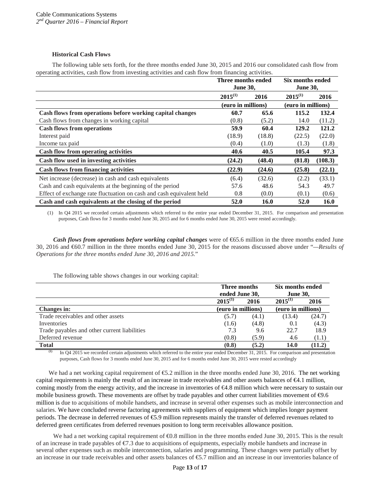# **Historical Cash Flows**

The following table sets forth, for the three months ended June 30, 2015 and 2016 our consolidated cash flow from operating activities, cash flow from investing activities and cash flow from financing activities.

|                                                                      | Three months ended<br><b>June 30,</b> |             | Six months ended<br><b>June 30,</b> |         |
|----------------------------------------------------------------------|---------------------------------------|-------------|-------------------------------------|---------|
|                                                                      | $2015^{(1)}$                          | 2016        | $2015^{(1)}$                        | 2016    |
|                                                                      | (euro in millions)                    |             | (euro in millions)                  |         |
| Cash flows from operations before working capital changes            | 60.7                                  | 65.6        | 115.2                               | 132.4   |
| Cash flows from changes in working capital                           | (0.8)                                 | (5.2)       | 14.0                                | (11.2)  |
| <b>Cash flows from operations</b>                                    | 59.9                                  | 60.4        | 129.2                               | 121.2   |
| Interest paid                                                        | (18.9)                                | (18.8)      | (22.5)                              | (22.0)  |
| Income tax paid                                                      | (0.4)                                 | (1.0)       | (1.3)                               | (1.8)   |
| <b>Cash flow from operating activities</b>                           | 40.6                                  | 40.5        | 105.4                               | 97.3    |
| Cash flow used in investing activities                               | (24.2)                                | (48.4)      | (81.8)                              | (108.3) |
| <b>Cash flows from financing activities</b>                          | (22.9)                                | (24.6)      | (25.8)                              | (22.1)  |
| Net increase (decrease) in cash and cash equivalents                 | (6.4)                                 | (32.6)      | (2.2)                               | (33.1)  |
| Cash and cash equivalents at the beginning of the period             | 57.6                                  | 48.6        | 54.3                                | 49.7    |
| Effect of exchange rate fluctuation on cash and cash equivalent held | 0.8                                   | (0.0)       | (0.1)                               | (0.6)   |
| Cash and cash equivalents at the closing of the period               | 52.0                                  | <b>16.0</b> | 52.0                                | 16.0    |

(1) In Q4 2015 we recorded certain adjustments which referred to the entire year ended December 31, 2015. For comparison and presentation purposes, Cash flows for 3 months ended June 30, 2015 and for 6 months ended June 30, 2015 were rested accordingly.

*Cash flows from operations before working capital changes* were of  $65.6$  million in the three months ended June 30, 2016 and €60.7 million in the three months ended June 30, 2015 for the reasons discussed above under "*—Results of Operations for the three months ended June 30, 2016 and 2015.*"

The following table shows changes in our working capital:

|                                              | Three months |                    | Six months ended |                    |
|----------------------------------------------|--------------|--------------------|------------------|--------------------|
|                                              |              | ended June 30,     |                  | <b>June 30,</b>    |
|                                              | $2015^{(1)}$ | 2016               | $2015^{(1)}$     | 2016               |
| Changes in:                                  |              | (euro in millions) |                  | (euro in millions) |
| Trade receivables and other assets           | (5.7)        | (4.1)              | (13.4)           | (24.7)             |
| Inventories                                  | (1.6)        | (4.8)              | 0.1              | (4.3)              |
| Trade payables and other current liabilities | 7.3          | 9.6                | 22.7             | 18.9               |
| Deferred revenue                             | (0.8)        | (5.9)              | 4.6              | (1.1)              |
| <b>Total</b>                                 | (0.8)        | (5.2)              | 14.0             | (11.2)             |

**(1)** In Q4 2015 we recorded certain adjustments which referred to the entire year ended December 31, 2015. For comparison and presentation purposes, Cash flows for 3 months ended June 30, 2015 and for 6 months ended June 30, 2015 were rested accordingly

We had a net working capital requirement of  $\epsilon$ 5.2 million in the three months ended June 30, 2016. The net working capital requirements is mainly the result of an increase in trade receivables and other assets balances of €4.1 million, coming mostly from the energy activity, and the increase in inventories of €4.8 million which were necessary to sustain our mobile business growth. These movements are offset by trade payables and other current liabilities movement of  $\Theta$ .6 million is due to acquisitions of mobile handsets, and increase in several other expenses such as mobile interconnection and salaries. We have concluded reverse factoring agreements with suppliers of equipment which implies longer payment periods. The decrease in deferred revenues of €5.9 million represents mainly the transfer of deferred revenues related to deferred green certificates from deferred revenues position to long term receivables allowance position.

We had a net working capital requirement of  $\Theta$ .8 million in the three months ended June 30, 2015. This is the result of an increase in trade payables of  $\epsilon/3$  due to acquisitions of equipments, especially mobile handsets and increase in several other expenses such as mobile interconnection, salaries and programming. These changes were partially offset by an increase in our trade receivables and other assets balances of €5.7 million and an increase in our inventories balance of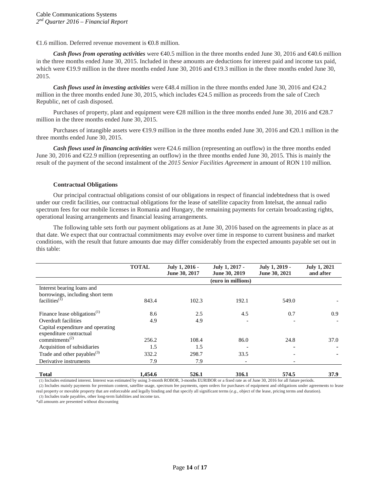$\epsilon$ 1.6 million. Deferred revenue movement is  $\epsilon$ 0.8 million.

*Cash flows from operating activities* were €40.5 million in the three months ended June 30, 2016 and €40.6 million in the three months ended June 30, 2015. Included in these amounts are deductions for interest paid and income tax paid, which were €19.9 million in the three months ended June 30, 2016 and €19.3 million in the three months ended June 30, 2015.

*Cash flows used in investing activities* were  $\bigoplus$  8.4 million in the three months ended June 30, 2016 and  $\bigoplus$  4.2 million in the three months ended June 30, 2015, which includes €24.5 million as proceeds from the sale of Czech Republic, net of cash disposed.

Purchases of property, plant and equipment were €28 million in the three months ended June 30, 2016 and €28.7 million in the three months ended June 30, 2015.

Purchases of intangible assets were €19.9 million in the three months ended June 30, 2016 and €20.1 million in the three months ended June 30, 2015.

*Cash flows used in <i>financing activities* were  $\epsilon$ 24.6 million (representing an outflow) in the three months ended June 30, 2016 and  $\epsilon$ 2.9 million (representing an outflow) in the three months ended June 30, 2015. This is mainly the result of the payment of the second instalment of the *2015 Senior Facilities Agreement* in amount of RON 110 million.

# **Contractual Obligations**

Our principal contractual obligations consist of our obligations in respect of financial indebtedness that is owed under our credit facilities, our contractual obligations for the lease of satellite capacity from Intelsat, the annual radio spectrum fees for our mobile licenses in Romania and Hungary, the remaining payments for certain broadcasting rights, operational leasing arrangements and financial leasing arrangements.

The following table sets forth our payment obligations as at June 30, 2016 based on the agreements in place as at that date. We expect that our contractual commitments may evolve over time in response to current business and market conditions, with the result that future amounts due may differ considerably from the expected amounts payable set out in this table:

|                                                              | <b>TOTAL</b> | July 1, 2016 -<br>June 30, 2017 | July 1, 2017 -<br>June 30, 2019 | July 1, 2019 -<br>June 30, 2021 | <b>July 1, 2021</b><br>and after |
|--------------------------------------------------------------|--------------|---------------------------------|---------------------------------|---------------------------------|----------------------------------|
|                                                              |              |                                 | (euro in millions)              |                                 |                                  |
| Interest bearing loans and                                   |              |                                 |                                 |                                 |                                  |
| borrowings, including short term                             |              |                                 |                                 |                                 |                                  |
| facilities <sup>(I)</sup>                                    | 843.4        | 102.3                           | 192.1                           | 549.0                           |                                  |
| Finance lease obligations $^{(1)}$                           | 8.6          | 2.5                             | 4.5                             | 0.7                             | 0.9                              |
| Overdraft facilities                                         | 4.9          | 4.9                             |                                 |                                 |                                  |
| Capital expenditure and operating<br>expenditure contractual |              |                                 |                                 |                                 |                                  |
| commitments <sup><math>(2)</math></sup>                      | 256.2        | 108.4                           | 86.0                            | 24.8                            | 37.0                             |
| Acquisition of subsidiaries                                  | 1.5          | 1.5                             |                                 |                                 |                                  |
| Trade and other payables $^{(3)}$                            | 332.2        | 298.7                           | 33.5                            |                                 |                                  |
| Derivative instruments                                       | 7.9          | 7.9                             |                                 |                                 |                                  |
| <b>Total</b>                                                 | 1,454.6      | 526.1                           | 316.1                           | 574.5                           | 37.9                             |

(1) Includes estimated interest. Interest was estimated by using 3-month ROBOR, 3-months EURIBOR or a fixed rate as of June 30, 2016 for all future periods.

(2) Includes mainly payments for premium content, satellite usage, spectrum fee payments, open orders for purchases of equipment and obligations under agreements to lease real property or movable property that are enforceable and legally binding and that specify all significant terms (*e.g.*, object of the lease, pricing terms and duration).

(3) Includes trade payables, other long-term liabilities and income tax.

\*all amounts are presented without discounting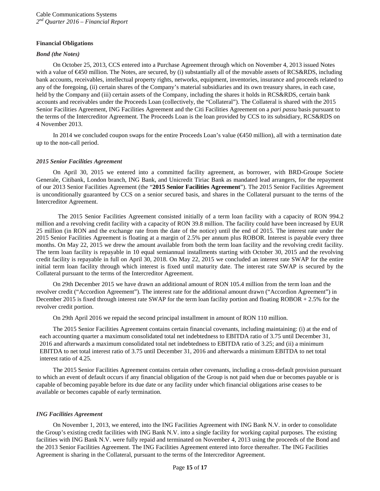#### **Financial Obligations**

#### *Bond (the Notes)*

On October 25, 2013, CCS entered into a Purchase Agreement through which on November 4, 2013 issued Notes with a value of €450 million. The Notes, are secured, by (i) substantially all of the movable assets of RCS&RDS, including bank accounts, receivables, intellectual property rights, networks, equipment, inventories, insurance and proceeds related to any of the foregoing, (ii) certain shares of the Company's material subsidiaries and its own treasury shares, in each case, held by the Company and (iii) certain assets of the Company, including the shares it holds in RCS&RDS, certain bank accounts and receivables under the Proceeds Loan (collectively, the "Collateral"). The Collateral is shared with the 2015 Senior Facilities Agreement, ING Facilities Agreement and the Citi Facilities Agreement on a *pari passu* basis pursuant to the terms of the Intercreditor Agreement. The Proceeds Loan is the loan provided by CCS to its subsidiary, RCS&RDS on 4 November 2013.

In 2014 we concluded coupon swaps for the entire Proceeds Loan's value (€450 million), all with a termination date up to the non-call period.

# *2015 Senior Facilities Agreement*

On April 30, 2015 we entered into a committed facility agreement, as borrower, with BRD-Groupe Societe Generale, Citibank, London branch, ING Bank, and Unicredit Tiriac Bank as mandated lead arrangers, for the repayment of our 2013 Senior Facilities Agreement (the "**2015 Senior Facilities Agreement**"). The 2015 Senior Facilities Agreement is unconditionally guaranteed by CCS on a senior secured basis, and shares in the Collateral pursuant to the terms of the Intercreditor Agreement.

The 2015 Senior Facilities Agreement consisted initially of a term loan facility with a capacity of RON 994.2 million and a revolving credit facility with a capacity of RON 39.8 million. The facility could have been increased by EUR 25 million (in RON and the exchange rate from the date of the notice) until the end of 2015. The interest rate under the 2015 Senior Facilities Agreement is floating at a margin of 2.5% per annum plus ROBOR. Interest is payable every three months. On May 22, 2015 we drew the amount available from both the term loan facility and the revolving credit facility. The term loan facility is repayable in 10 equal semiannual installments starting with October 30, 2015 and the revolving credit facility is repayable in full on April 30, 2018. On May 22, 2015 we concluded an interest rate SWAP for the entire initial term loan facility through which interest is fixed until maturity date. The interest rate SWAP is secured by the Collateral pursuant to the terms of the Intercreditor Agreement.

On 29th December 2015 we have drawn an additional amount of RON 105.4 million from the term loan and the revolver credit ("Accordion Agreement"). The interest rate for the additional amount drawn ("Accordion Agreement") in December 2015 is fixed through interest rate SWAP for the term loan facility portion and floating ROBOR + 2.5% for the revolver credit portion.

On 29th April 2016 we repaid the second principal installment in amount of RON 110 million.

The 2015 Senior Facilities Agreement contains certain financial covenants, including maintaining: (i) at the end of each accounting quarter a maximum consolidated total net indebtedness to EBITDA ratio of 3.75 until December 31, 2016 and afterwards a maximum consolidated total net indebtedness to EBITDA ratio of 3.25; and (ii) a minimum EBITDA to net total interest ratio of 3.75 until December 31, 2016 and afterwards a minimum EBITDA to net total interest ratio of 4.25.

The 2015 Senior Facilities Agreement contains certain other covenants, including a cross-default provision pursuant to which an event of default occurs if any financial obligation of the Group is not paid when due or becomes payable or is capable of becoming payable before its due date or any facility under which financial obligations arise ceases to be available or becomes capable of early termination.

# *ING Facilities Agreement*

On November 1, 2013, we entered, into the ING Facilities Agreement with ING Bank N.V. in order to consolidate the Group's existing credit facilities with ING Bank N.V. into a single facility for working capital purposes. The existing facilities with ING Bank N.V. were fully repaid and terminated on November 4, 2013 using the proceeds of the Bond and the 2013 Senior Facilities Agreement. The ING Facilities Agreement entered into force thereafter. The ING Facilities Agreement is sharing in the Collateral, pursuant to the terms of the Intercreditor Agreement.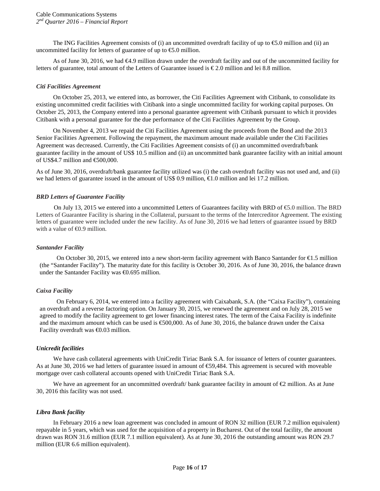The ING Facilities Agreement consists of (i) an uncommitted overdraft facility of up to  $\epsilon$ 5.0 million and (ii) an uncommitted facility for letters of guarantee of up to  $\epsilon$ 5.0 million.

As of June 30, 2016, we had €4.9 million drawn under the overdraft facility and out of the uncommitted facility for letters of guarantee, total amount of the Letters of Guarantee issued is  $\epsilon$ 2.0 million and lei 8.8 million.

#### *Citi Facilities Agreement*

On October 25, 2013, we entered into, as borrower, the Citi Facilities Agreement with Citibank, to consolidate its existing uncommitted credit facilities with Citibank into a single uncommitted facility for working capital purposes. On October 25, 2013, the Company entered into a personal guarantee agreement with Citibank pursuant to which it provides Citibank with a personal guarantee for the due performance of the Citi Facilities Agreement by the Group.

On November 4, 2013 we repaid the Citi Facilities Agreement using the proceeds from the Bond and the 2013 Senior Facilities Agreement. Following the repayment, the maximum amount made available under the Citi Facilities Agreement was decreased. Currently, the Citi Facilities Agreement consists of (i) an uncommitted overdraft/bank guarantee facility in the amount of US\$ 10.5 million and (ii) an uncommitted bank guarantee facility with an initial amount of US\$4.7 million and €500,000.

As of June 30, 2016, overdraft/bank guarantee facility utilized was (i) the cash overdraft facility was not used and, and (ii) we had letters of guarantee issued in the amount of US\$ 0.9 million,  $\epsilon$ 1.0 million and lei 17.2 million.

#### *BRD Letters of Guarantee Facility*

On July 13, 2015 we entered into a uncommitted Letters of Guarantees facility with BRD of €5.0 million. The BRD Letters of Guarantee Facility is sharing in the Collateral, pursuant to the terms of the Intercreditor Agreement. The existing letters of guarantee were included under the new facility. As of June 30, 2016 we had letters of guarantee issued by BRD with a value of  $\triangleleft$ 0.9 million.

#### *Santander Facility*

On October 30, 2015, we entered into a new short-term facility agreement with Banco Santander for €1.5 million (the "Santander Facility"). The maturity date for this facility is October 30, 2016. As of June 30, 2016, the balance drawn under the Santander Facility was €0.695 million.

# *Caixa Facility*

On February 6, 2014, we entered into a facility agreement with Caixabank, S.A. (the "Caixa Facility"), containing an overdraft and a reverse factoring option. On January 30, 2015, we renewed the agreement and on July 28, 2015 we agreed to modify the facility agreement to get lower financing interest rates. The term of the Caixa Facility is indefinite and the maximum amount which can be used is €500,000. As of June 30, 2016, the balance drawn under the Caixa Facility overdraft was €0.03 million.

#### *Unicredit facilities*

We have cash collateral agreements with UniCredit Tiriac Bank S.A. for issuance of letters of counter guarantees. As at June 30, 2016 we had letters of guarantee issued in amount of €59,484. This agreement is secured with moveable mortgage over cash collateral accounts opened with UniCredit Tiriac Bank S.A.

We have an agreement for an uncommitted overdraft/ bank guarantee facility in amount of  $\epsilon$  million. As at June 30, 2016 this facility was not used.

# *Libra Bank facility*

In February 2016 a new loan agreement was concluded in amount of RON 32 million (EUR 7.2 million equivalent) repayable in 5 years, which was used for the acquisition of a property in Bucharest. Out of the total facility, the amount drawn was RON 31.6 million (EUR 7.1 million equivalent). As at June 30, 2016 the outstanding amount was RON 29.7 million (EUR 6.6 million equivalent).